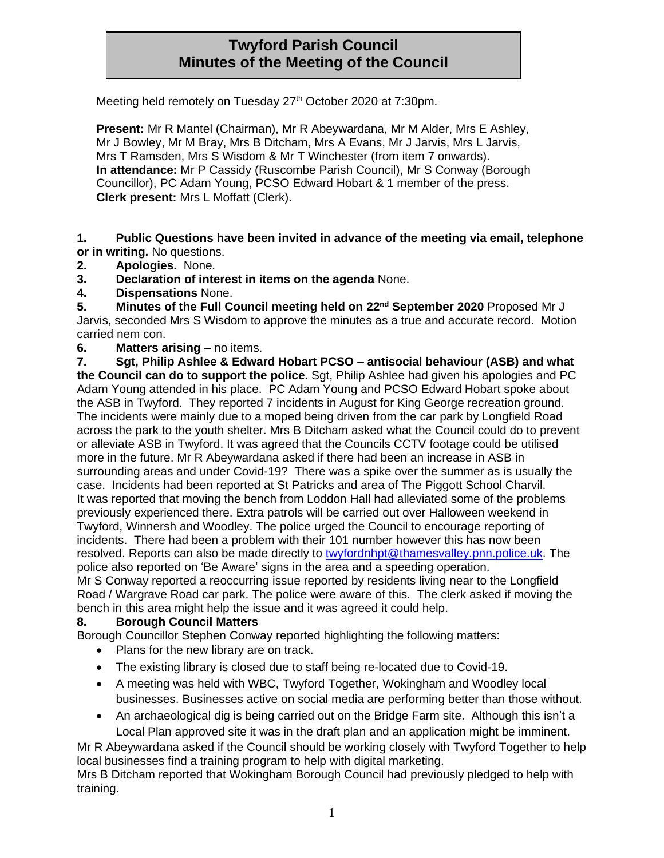# **Twyford Parish Council Minutes of the Meeting of the Council**

Meeting held remotely on Tuesday 27<sup>th</sup> October 2020 at 7:30pm.

**Present:** Mr R Mantel (Chairman), Mr R Abeywardana, Mr M Alder, Mrs E Ashley, Mr J Bowley, Mr M Bray, Mrs B Ditcham, Mrs A Evans, Mr J Jarvis, Mrs L Jarvis, Mrs T Ramsden, Mrs S Wisdom & Mr T Winchester (from item 7 onwards). **In attendance:** Mr P Cassidy (Ruscombe Parish Council), Mr S Conway (Borough Councillor), PC Adam Young, PCSO Edward Hobart & 1 member of the press. **Clerk present:** Mrs L Moffatt (Clerk).

**1. Public Questions have been invited in advance of the meeting via email, telephone or in writing.** No questions.

- **2. Apologies.** None.
- **3. Declaration of interest in items on the agenda** None.
- **4. Dispensations** None.

**5. Minutes of the Full Council meeting held on 22nd September 2020** Proposed Mr J Jarvis, seconded Mrs S Wisdom to approve the minutes as a true and accurate record. Motion carried nem con.

**6. Matters arising** – no items.

**7. Sgt, Philip Ashlee & Edward Hobart PCSO – antisocial behaviour (ASB) and what the Council can do to support the police.** Sgt, Philip Ashlee had given his apologies and PC Adam Young attended in his place. PC Adam Young and PCSO Edward Hobart spoke about the ASB in Twyford. They reported 7 incidents in August for King George recreation ground. The incidents were mainly due to a moped being driven from the car park by Longfield Road across the park to the youth shelter. Mrs B Ditcham asked what the Council could do to prevent or alleviate ASB in Twyford. It was agreed that the Councils CCTV footage could be utilised more in the future. Mr R Abeywardana asked if there had been an increase in ASB in surrounding areas and under Covid-19? There was a spike over the summer as is usually the case. Incidents had been reported at St Patricks and area of The Piggott School Charvil. It was reported that moving the bench from Loddon Hall had alleviated some of the problems previously experienced there. Extra patrols will be carried out over Halloween weekend in Twyford, Winnersh and Woodley. The police urged the Council to encourage reporting of incidents. There had been a problem with their 101 number however this has now been resolved. Reports can also be made directly to [twyfordnhpt@thamesvalley.pnn.police.uk.](mailto:twyfordnhpt@thamesvalley.pnn.police.uk) The police also reported on 'Be Aware' signs in the area and a speeding operation.

Mr S Conway reported a reoccurring issue reported by residents living near to the Longfield Road / Wargrave Road car park. The police were aware of this. The clerk asked if moving the bench in this area might help the issue and it was agreed it could help.

#### **8. Borough Council Matters**

Borough Councillor Stephen Conway reported highlighting the following matters:

- Plans for the new library are on track.
- The existing library is closed due to staff being re-located due to Covid-19.
- A meeting was held with WBC, Twyford Together, Wokingham and Woodley local businesses. Businesses active on social media are performing better than those without.
- An archaeological dig is being carried out on the Bridge Farm site. Although this isn't a Local Plan approved site it was in the draft plan and an application might be imminent.

Mr R Abeywardana asked if the Council should be working closely with Twyford Together to help local businesses find a training program to help with digital marketing.

Mrs B Ditcham reported that Wokingham Borough Council had previously pledged to help with training.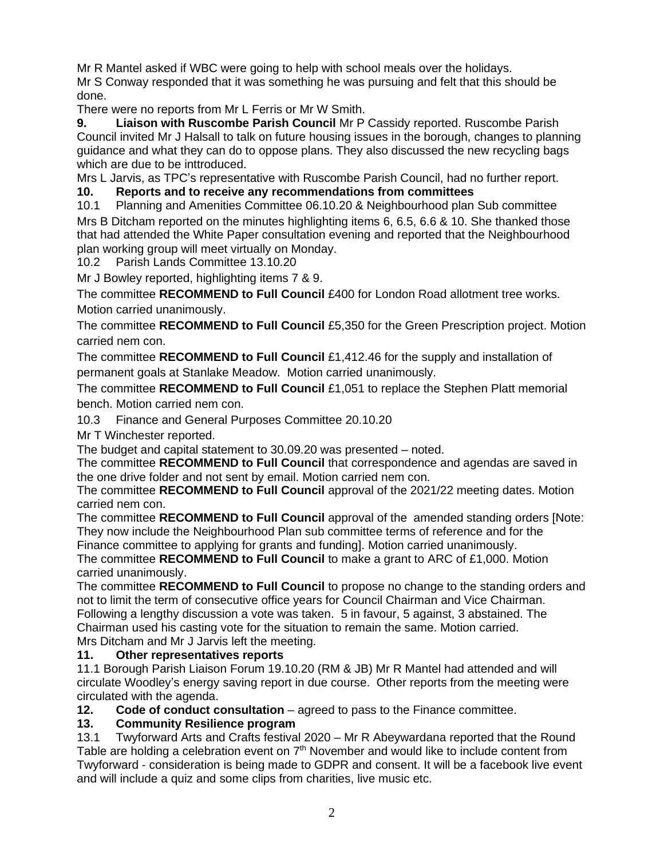Mr R Mantel asked if WBC were going to help with school meals over the holidays. Mr S Conway responded that it was something he was pursuing and felt that this should be done.

There were no reports from Mr L Ferris or Mr W Smith.

**9. Liaison with Ruscombe Parish Council** Mr P Cassidy reported. Ruscombe Parish Council invited Mr J Halsall to talk on future housing issues in the borough, changes to planning guidance and what they can do to oppose plans. They also discussed the new recycling bags which are due to be inttroduced.

Mrs L Jarvis, as TPC's representative with Ruscombe Parish Council, had no further report.

## **10. Reports and to receive any recommendations from committees**

10.1 Planning and Amenities Committee 06.10.20 & Neighbourhood plan Sub committee Mrs B Ditcham reported on the minutes highlighting items 6, 6.5, 6.6 & 10. She thanked those that had attended the White Paper consultation evening and reported that the Neighbourhood plan working group will meet virtually on Monday.

10.2 Parish Lands Committee 13.10.20

Mr J Bowley reported, highlighting items 7 & 9.

The committee **RECOMMEND to Full Council** £400 for London Road allotment tree works. Motion carried unanimously.

The committee **RECOMMEND to Full Council** £5,350 for the Green Prescription project. Motion carried nem con.

The committee **RECOMMEND to Full Council** £1,412.46 for the supply and installation of permanent goals at Stanlake Meadow. Motion carried unanimously.

The committee **RECOMMEND to Full Council** £1,051 to replace the Stephen Platt memorial bench. Motion carried nem con.

10.3 Finance and General Purposes Committee 20.10.20

Mr T Winchester reported.

The budget and capital statement to 30.09.20 was presented – noted.

The committee **RECOMMEND to Full Council** that correspondence and agendas are saved in the one drive folder and not sent by email. Motion carried nem con.

The committee **RECOMMEND to Full Council** approval of the 2021/22 meeting dates. Motion carried nem con.

The committee **RECOMMEND to Full Council** approval of the amended standing orders [Note: They now include the Neighbourhood Plan sub committee terms of reference and for the Finance committee to applying for grants and funding]. Motion carried unanimously.

The committee **RECOMMEND to Full Council** to make a grant to ARC of £1,000. Motion carried unanimously.

The committee **RECOMMEND to Full Council** to propose no change to the standing orders and not to limit the term of consecutive office years for Council Chairman and Vice Chairman. Following a lengthy discussion a vote was taken. 5 in favour, 5 against, 3 abstained. The Chairman used his casting vote for the situation to remain the same. Motion carried. Mrs Ditcham and Mr J Jarvis left the meeting.

#### **11. Other representatives reports**

11.1 Borough Parish Liaison Forum 19.10.20 (RM & JB) Mr R Mantel had attended and will circulate Woodley's energy saving report in due course. Other reports from the meeting were circulated with the agenda.

**12.** Code of conduct consultation – agreed to pass to the Finance committee.

### **13. Community Resilience program**

13.1 Twyforward Arts and Crafts festival 2020 – Mr R Abeywardana reported that the Round Table are holding a celebration event on 7<sup>th</sup> November and would like to include content from Twyforward - consideration is being made to GDPR and consent. It will be a facebook live event and will include a quiz and some clips from charities, live music etc.